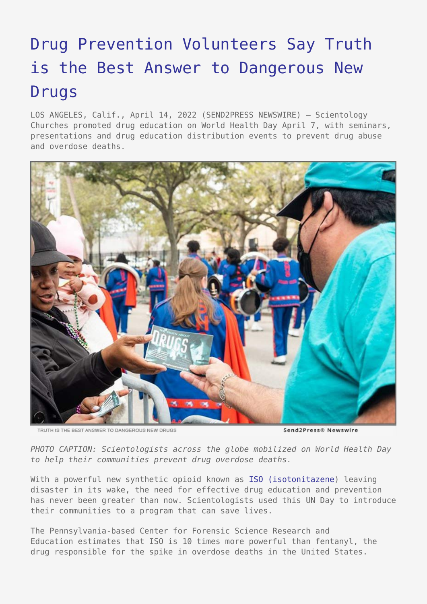## [Drug Prevention Volunteers Say Truth](https://www.send2press.com/wire/drug-prevention-volunteers-say-truth-is-the-best-answer-to-dangerous-new-drugs/) [is the Best Answer to Dangerous New](https://www.send2press.com/wire/drug-prevention-volunteers-say-truth-is-the-best-answer-to-dangerous-new-drugs/) [Drugs](https://www.send2press.com/wire/drug-prevention-volunteers-say-truth-is-the-best-answer-to-dangerous-new-drugs/)

LOS ANGELES, Calif., April 14, 2022 (SEND2PRESS NEWSWIRE) — Scientology Churches promoted drug education on World Health Day April 7, with seminars, presentations and drug education distribution events to prevent drug abuse and overdose deaths.



RUTH IS THE BEST ANSWER TO DANGEROUS NEW DRUGS

Send2Press® Newswire

*PHOTO CAPTION: Scientologists across the globe mobilized on World Health Day to help their communities prevent drug overdose deaths.*

With a powerful new synthetic opioid known as [ISO \(isotonitazene](https://www.washingtonpost.com/local/dc-politics/new-opioids-more-powerful-than-fentanyl-are-discovered-in-dc-amid-deadly-wave-of-overdoses/2021/11/29/680afb2c-4d43-11ec-94ad-bd85017d58dc_story.html)) leaving disaster in its wake, the need for effective drug education and prevention has never been greater than now. Scientologists used this UN Day to introduce their communities to a program that can save lives.

The Pennsylvania-based Center for Forensic Science Research and Education estimates that ISO is 10 times more powerful than fentanyl, the drug responsible for the spike in overdose deaths in the United States.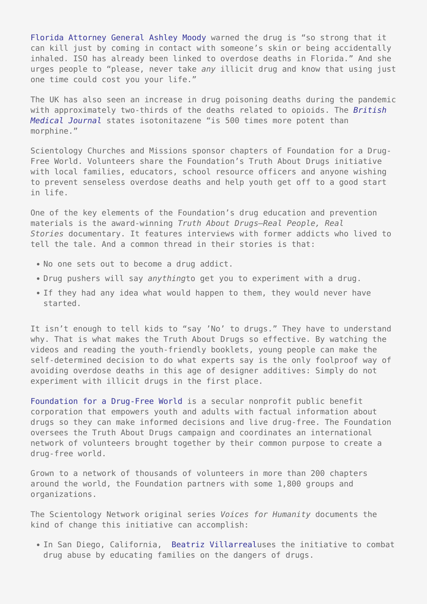[Florida Attorney General Ashley Moody](http://www.myfloridalegal.com/newsrel.nsf/newsreleases/A19BD1D4E0D39DFD852588070057E62D) warned the drug is "so strong that it can kill just by coming in contact with someone's skin or being accidentally inhaled. ISO has already been linked to overdose deaths in Florida." And she urges people to "please, never take *any* illicit drug and know that using just one time could cost you your life."

The UK has also seen an increase in drug poisoning deaths during the pandemic with approximately two-thirds of the deaths related to opioids. The *[British](https://www.bmj.com/content/375/bmj.n2865/rr-0) [Medical Journal](https://www.bmj.com/content/375/bmj.n2865/rr-0)* states isotonitazene "is 500 times more potent than morphine."

Scientology Churches and Missions sponsor chapters of Foundation for a Drug-Free World. Volunteers share the Foundation's Truth About Drugs initiative with local families, educators, school resource officers and anyone wishing to prevent senseless overdose deaths and help youth get off to a good start in life.

One of the key elements of the Foundation's drug education and prevention materials is the award-winning *Truth About Drugs—Real People, Real Stories* documentary. It features interviews with former addicts who lived to tell the tale. And a common thread in their stories is that:

- No one sets out to become a drug addict.
- Drug pushers will say *anything*to get you to experiment with a drug.
- If they had any idea what would happen to them, they would never have started.

It isn't enough to tell kids to "say 'No' to drugs." They have to understand why. That is what makes the Truth About Drugs so effective. By watching the videos and reading the youth-friendly booklets, young people can make the self-determined decision to do what experts say is the only foolproof way of avoiding overdose deaths in this age of designer additives: Simply do not experiment with illicit drugs in the first place.

[Foundation for a Drug-Free World](http://www.drugfreeworld.org/) is a secular nonprofit public benefit corporation that empowers youth and adults with factual information about drugs so they can make informed decisions and live drug-free. The Foundation oversees the Truth About Drugs campaign and coordinates an international network of volunteers brought together by their common purpose to create a drug-free world.

Grown to a network of thousands of volunteers in more than 200 chapters around the world, the Foundation partners with some 1,800 groups and organizations.

The Scientology Network original series *Voices for Humanity* documents the kind of change this initiative can accomplish:

In San Diego, California, [Beatriz Villarrealu](https://www.scientology.tv/series/voices-for-humanity/beatriz-villarreal.html)ses the initiative to combat drug abuse by educating families on the dangers of drugs.